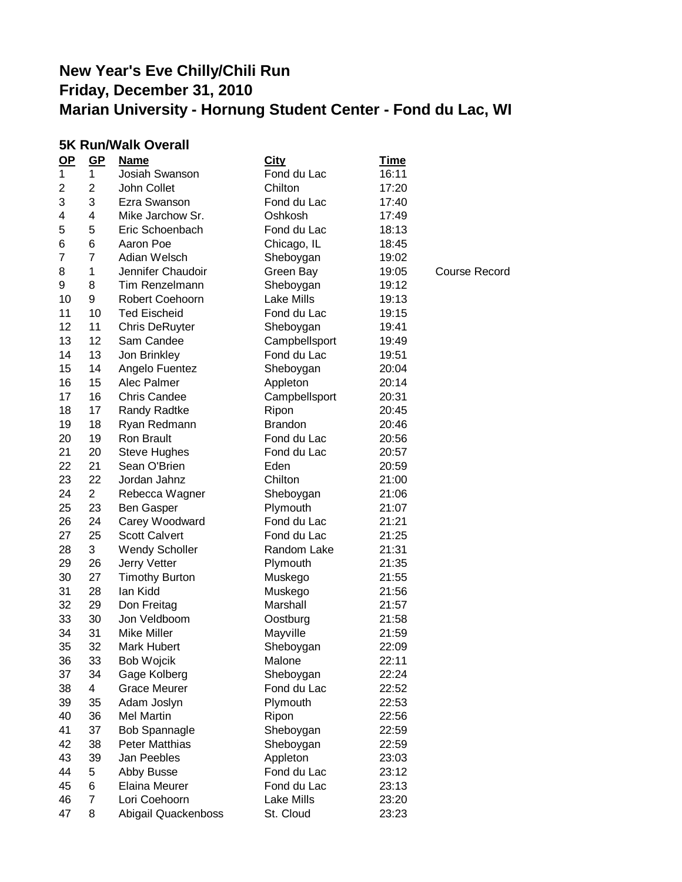### **5K Run/Walk Overall**

| $OP$ | $GP$           | <u>Name</u>           | <b>City</b>    | <u>Time</u> |                      |
|------|----------------|-----------------------|----------------|-------------|----------------------|
| 1    | 1              | Josiah Swanson        | Fond du Lac    | 16:11       |                      |
| 2    | $\overline{2}$ | John Collet           | Chilton        | 17:20       |                      |
| 3    | 3              | Ezra Swanson          | Fond du Lac    | 17:40       |                      |
| 4    | 4              | Mike Jarchow Sr.      | Oshkosh        | 17:49       |                      |
| 5    | 5              | Eric Schoenbach       | Fond du Lac    | 18:13       |                      |
| 6    | 6              | Aaron Poe             | Chicago, IL    | 18:45       |                      |
| 7    | $\overline{7}$ | Adian Welsch          | Sheboygan      | 19:02       |                      |
| 8    | 1              | Jennifer Chaudoir     | Green Bay      | 19:05       | <b>Course Record</b> |
| 9    | 8              | Tim Renzelmann        | Sheboygan      | 19:12       |                      |
| 10   | 9              | Robert Coehoorn       | Lake Mills     | 19:13       |                      |
| 11   | 10             | <b>Ted Eischeid</b>   | Fond du Lac    | 19:15       |                      |
| 12   | 11             | <b>Chris DeRuyter</b> | Sheboygan      | 19:41       |                      |
| 13   | 12             | Sam Candee            | Campbellsport  | 19:49       |                      |
| 14   | 13             | Jon Brinkley          | Fond du Lac    | 19:51       |                      |
| 15   | 14             | Angelo Fuentez        | Sheboygan      | 20:04       |                      |
| 16   | 15             | Alec Palmer           | Appleton       | 20:14       |                      |
| 17   | 16             | <b>Chris Candee</b>   | Campbellsport  | 20:31       |                      |
| 18   | 17             | Randy Radtke          | Ripon          | 20:45       |                      |
| 19   | 18             | Ryan Redmann          | <b>Brandon</b> | 20:46       |                      |
| 20   | 19             | Ron Brault            | Fond du Lac    | 20:56       |                      |
| 21   | 20             | <b>Steve Hughes</b>   | Fond du Lac    | 20:57       |                      |
| 22   | 21             | Sean O'Brien          | Eden           | 20:59       |                      |
| 23   | 22             | Jordan Jahnz          | Chilton        | 21:00       |                      |
| 24   | $\overline{2}$ | Rebecca Wagner        | Sheboygan      | 21:06       |                      |
| 25   | 23             | <b>Ben Gasper</b>     | Plymouth       | 21:07       |                      |
| 26   | 24             | Carey Woodward        | Fond du Lac    | 21:21       |                      |
| 27   | 25             | <b>Scott Calvert</b>  | Fond du Lac    | 21:25       |                      |
| 28   | 3              | Wendy Scholler        | Random Lake    | 21:31       |                      |
| 29   | 26             | Jerry Vetter          | Plymouth       | 21:35       |                      |
| 30   | 27             | <b>Timothy Burton</b> | Muskego        | 21:55       |                      |
| 31   | 28             | lan Kidd              | Muskego        | 21:56       |                      |
| 32   | 29             | Don Freitag           | Marshall       | 21:57       |                      |
| 33   | 30             | Jon Veldboom          | Oostburg       | 21:58       |                      |
| 34   | 31             | <b>Mike Miller</b>    | Mayville       | 21:59       |                      |
| 35   | 32             | Mark Hubert           | Sheboygan      | 22:09       |                      |
| 36   | 33             | <b>Bob Wojcik</b>     | Malone         | 22:11       |                      |
| 37   | 34             | Gage Kolberg          | Sheboygan      | 22:24       |                      |
| 38   | 4              | <b>Grace Meurer</b>   | Fond du Lac    | 22:52       |                      |
| 39   | 35             | Adam Joslyn           | Plymouth       | 22:53       |                      |
| 40   | 36             | Mel Martin            | Ripon          | 22:56       |                      |
| 41   | 37             | <b>Bob Spannagle</b>  | Sheboygan      | 22:59       |                      |
| 42   | 38             | <b>Peter Matthias</b> | Sheboygan      | 22:59       |                      |
| 43   | 39             | Jan Peebles           | Appleton       | 23:03       |                      |
| 44   | 5              | Abby Busse            | Fond du Lac    | 23:12       |                      |
| 45   | 6              | Elaina Meurer         | Fond du Lac    | 23:13       |                      |
| 46   | 7              | Lori Coehoorn         | Lake Mills     | 23:20       |                      |
| 47   | 8              | Abigail Quackenboss   | St. Cloud      | 23:23       |                      |
|      |                |                       |                |             |                      |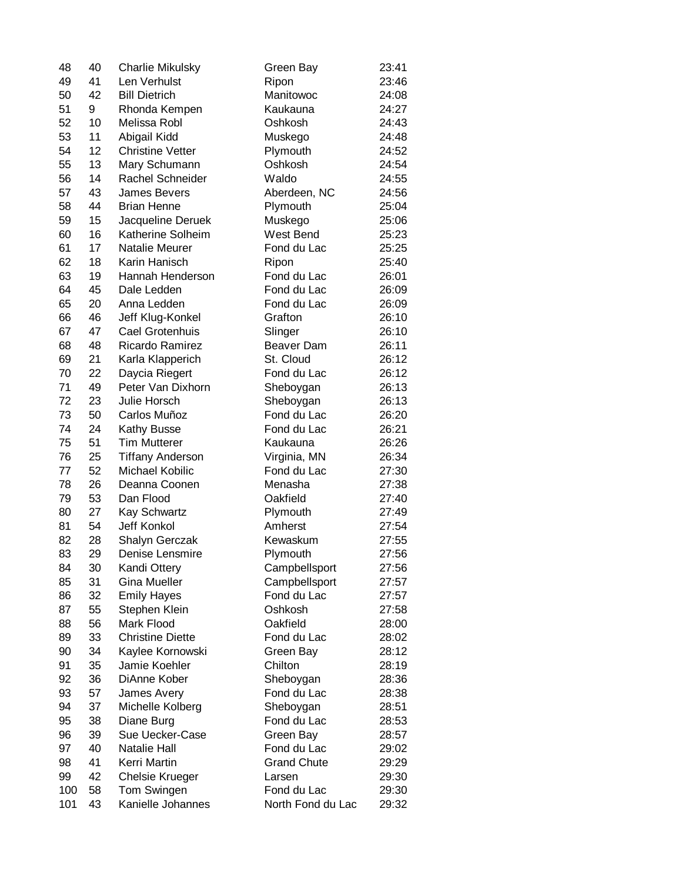| 48  | 40 | <b>Charlie Mikulsky</b>                   | Green Bay           | 23:41 |
|-----|----|-------------------------------------------|---------------------|-------|
| 49  | 41 | Len Verhulst                              | Ripon               | 23:46 |
| 50  | 42 | <b>Bill Dietrich</b>                      | Manitowoc           | 24:08 |
| 51  | 9  | Rhonda Kempen                             | Kaukauna            | 24:27 |
| 52  | 10 | Melissa Robl                              | Oshkosh             | 24:43 |
| 53  | 11 | Abigail Kidd                              | Muskego             | 24:48 |
| 54  | 12 | <b>Christine Vetter</b>                   | Plymouth            | 24:52 |
| 55  | 13 | Mary Schumann                             | Oshkosh             | 24:54 |
| 56  | 14 | Rachel Schneider                          | Waldo               | 24:55 |
| 57  | 43 | <b>James Bevers</b>                       | Aberdeen, NC        | 24:56 |
| 58  | 44 | <b>Brian Henne</b>                        | Plymouth            | 25:04 |
| 59  | 15 | Jacqueline Deruek                         | Muskego             | 25:06 |
| 60  | 16 | Katherine Solheim                         | West Bend           | 25:23 |
| 61  | 17 | <b>Natalie Meurer</b>                     | Fond du Lac         | 25:25 |
| 62  | 18 | Karin Hanisch                             | Ripon               | 25:40 |
| 63  | 19 | Hannah Henderson                          | Fond du Lac         | 26:01 |
| 64  | 45 | Dale Ledden                               | Fond du Lac         | 26:09 |
| 65  | 20 | Anna Ledden                               | Fond du Lac         | 26:09 |
| 66  | 46 | Jeff Klug-Konkel                          | Grafton             | 26:10 |
| 67  | 47 | Cael Grotenhuis                           | Slinger             | 26:10 |
| 68  | 48 | Ricardo Ramirez                           | Beaver Dam          | 26:11 |
| 69  | 21 | Karla Klapperich                          | St. Cloud           | 26:12 |
| 70  | 22 | Daycia Riegert                            | Fond du Lac         | 26:12 |
| 71  | 49 | Peter Van Dixhorn                         | Sheboygan           | 26:13 |
| 72  | 23 | Julie Horsch                              | Sheboygan           | 26:13 |
| 73  | 50 | Carlos Muñoz                              | Fond du Lac         | 26:20 |
| 74  | 24 | Kathy Busse                               | Fond du Lac         | 26:21 |
| 75  | 51 | <b>Tim Mutterer</b>                       | Kaukauna            | 26:26 |
| 76  | 25 | <b>Tiffany Anderson</b>                   | Virginia, MN        | 26:34 |
| 77  | 52 | Michael Kobilic                           | Fond du Lac         | 27:30 |
| 78  | 26 | Deanna Coonen                             | Menasha             | 27:38 |
| 79  | 53 | Dan Flood                                 | Oakfield            | 27:40 |
|     | 27 |                                           |                     |       |
| 80  |    | <b>Kay Schwartz</b><br><b>Jeff Konkol</b> | Plymouth<br>Amherst | 27:49 |
| 81  | 54 |                                           |                     | 27:54 |
| 82  | 28 | Shalyn Gerczak                            | Kewaskum            | 27:55 |
| 83  | 29 | Denise Lensmire                           | Plymouth            | 27:56 |
| 84  | 30 | Kandi Ottery                              | Campbellsport       | 27:56 |
| 85  | 31 | <b>Gina Mueller</b>                       | Campbellsport       | 27:57 |
| 86  | 32 | <b>Emily Hayes</b>                        | Fond du Lac         | 27:57 |
| 87  | 55 | Stephen Klein                             | Oshkosh             | 27:58 |
| 88  | 56 | Mark Flood                                | Oakfield            | 28:00 |
| 89  | 33 | <b>Christine Diette</b>                   | Fond du Lac         | 28:02 |
| 90  | 34 | Kaylee Kornowski                          | Green Bay           | 28:12 |
| 91  | 35 | Jamie Koehler                             | Chilton             | 28:19 |
| 92  | 36 | DiAnne Kober                              | Sheboygan           | 28:36 |
| 93  | 57 | James Avery                               | Fond du Lac         | 28:38 |
| 94  | 37 | Michelle Kolberg                          | Sheboygan           | 28:51 |
| 95  | 38 | Diane Burg                                | Fond du Lac         | 28:53 |
| 96  | 39 | Sue Uecker-Case                           | Green Bay           | 28:57 |
| 97  | 40 | Natalie Hall                              | Fond du Lac         | 29:02 |
| 98  | 41 | Kerri Martin                              | <b>Grand Chute</b>  | 29:29 |
| 99  | 42 | <b>Chelsie Krueger</b>                    | Larsen              | 29:30 |
| 100 | 58 | Tom Swingen                               | Fond du Lac         | 29:30 |
| 101 | 43 | Kanielle Johannes                         | North Fond du Lac   | 29:32 |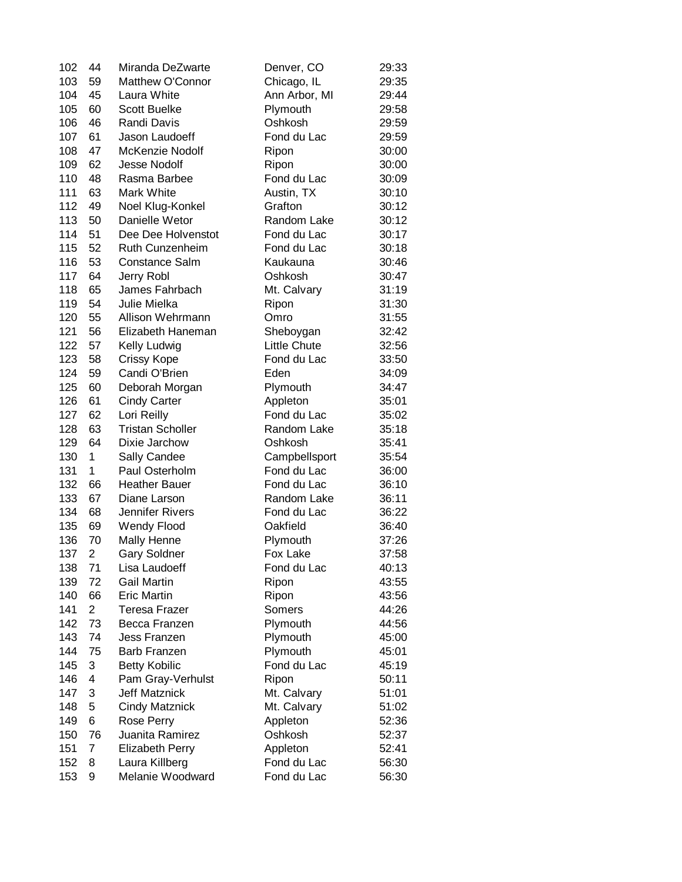| 102 | 44             | Miranda DeZwarte                   | Denver, CO              | 29:33 |
|-----|----------------|------------------------------------|-------------------------|-------|
| 103 | 59             | Matthew O'Connor                   | Chicago, IL             | 29:35 |
| 104 | 45             | Laura White                        | Ann Arbor, MI           | 29:44 |
| 105 | 60             | <b>Scott Buelke</b>                | Plymouth                | 29:58 |
| 106 | 46             | Randi Davis                        | Oshkosh                 | 29:59 |
| 107 | 61             | Jason Laudoeff                     | Fond du Lac             | 29:59 |
| 108 | 47             | McKenzie Nodolf                    | Ripon                   | 30:00 |
| 109 | 62             | <b>Jesse Nodolf</b>                | Ripon                   | 30:00 |
| 110 | 48             | Rasma Barbee                       | Fond du Lac             | 30:09 |
| 111 | 63             | Mark White                         | Austin, TX              | 30:10 |
| 112 | 49             | Noel Klug-Konkel                   | Grafton                 | 30:12 |
| 113 | 50             | Danielle Wetor                     | Random Lake             | 30:12 |
| 114 | 51             | Dee Dee Holvenstot                 | Fond du Lac             | 30:17 |
| 115 | 52             | Ruth Cunzenheim                    | Fond du Lac             | 30:18 |
| 116 | 53             | <b>Constance Salm</b>              | Kaukauna                | 30:46 |
| 117 | 64             | Jerry Robl                         | Oshkosh                 | 30:47 |
| 118 | 65             | James Fahrbach                     | Mt. Calvary             | 31:19 |
| 119 | 54             | Julie Mielka                       | Ripon                   | 31:30 |
| 120 | 55             | Allison Wehrmann                   | Omro                    | 31:55 |
| 121 | 56             | Elizabeth Haneman                  | Sheboygan               | 32:42 |
| 122 | 57             | Kelly Ludwig                       | <b>Little Chute</b>     | 32:56 |
| 123 | 58             | <b>Crissy Kope</b>                 | Fond du Lac             | 33:50 |
| 124 | 59             | Candi O'Brien                      | Eden                    | 34:09 |
| 125 | 60             | Deborah Morgan                     | Plymouth                | 34:47 |
| 126 | 61             |                                    |                         | 35:01 |
| 127 | 62             | <b>Cindy Carter</b><br>Lori Reilly | Appleton<br>Fond du Lac |       |
| 128 | 63             | <b>Tristan Scholler</b>            | Random Lake             | 35:02 |
|     | 64             |                                    |                         | 35:18 |
| 129 | 1              | Dixie Jarchow                      | Oshkosh                 | 35:41 |
| 130 | 1              | Sally Candee                       | Campbellsport           | 35:54 |
| 131 |                | Paul Osterholm                     | Fond du Lac             | 36:00 |
| 132 | 66             | <b>Heather Bauer</b>               | Fond du Lac             | 36:10 |
| 133 | 67             | Diane Larson                       | Random Lake             | 36:11 |
| 134 | 68             | Jennifer Rivers                    | Fond du Lac             | 36:22 |
| 135 | 69             | <b>Wendy Flood</b>                 | Oakfield                | 36:40 |
| 136 | 70             | Mally Henne                        | Plymouth                | 37:26 |
| 137 | $\overline{2}$ | <b>Gary Soldner</b>                | Fox Lake                | 37:58 |
| 138 | 71             | Lisa Laudoeff                      | Fond du Lac             | 40:13 |
| 139 | 72             | <b>Gail Martin</b>                 | Ripon                   | 43:55 |
| 140 | 66             | <b>Eric Martin</b>                 | Ripon                   | 43:56 |
| 141 | 2              | <b>Teresa Frazer</b>               | Somers                  | 44:26 |
| 142 | 73             | Becca Franzen                      | Plymouth                | 44:56 |
| 143 | 74             | Jess Franzen                       | Plymouth                | 45:00 |
| 144 | 75             | Barb Franzen                       | Plymouth                | 45:01 |
| 145 | 3              | <b>Betty Kobilic</b>               | Fond du Lac             | 45:19 |
| 146 | 4              | Pam Gray-Verhulst                  | Ripon                   | 50:11 |
| 147 | 3              | <b>Jeff Matznick</b>               | Mt. Calvary             | 51:01 |
| 148 | 5              | <b>Cindy Matznick</b>              | Mt. Calvary             | 51:02 |
| 149 | 6              | Rose Perry                         | Appleton                | 52:36 |
| 150 | 76             | Juanita Ramirez                    | Oshkosh                 | 52:37 |
| 151 | $\overline{7}$ | <b>Elizabeth Perry</b>             | Appleton                | 52:41 |
| 152 | 8              | Laura Killberg                     | Fond du Lac             | 56:30 |
| 153 | 9              | Melanie Woodward                   | Fond du Lac             | 56:30 |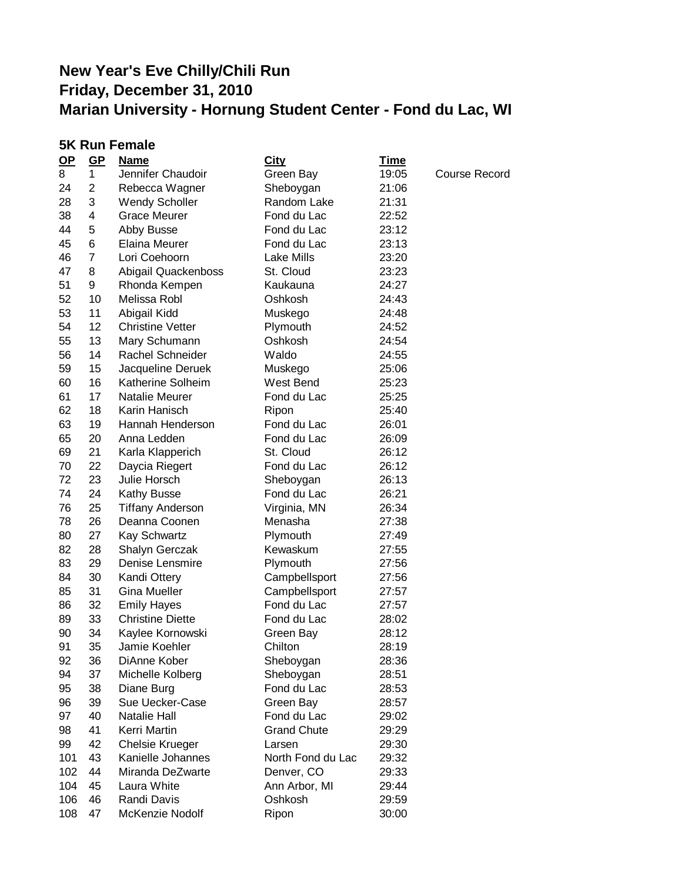|           | <b>5K Run Female</b> |                         |                    |             |                      |  |
|-----------|----------------------|-------------------------|--------------------|-------------|----------------------|--|
| <u>OP</u> | $GP$                 | <b>Name</b>             | <b>City</b>        | <u>Time</u> |                      |  |
| 8         | 1                    | Jennifer Chaudoir       | Green Bay          | 19:05       | <b>Course Record</b> |  |
| 24        | 2                    | Rebecca Wagner          | Sheboygan          | 21:06       |                      |  |
| 28        | 3                    | <b>Wendy Scholler</b>   | Random Lake        | 21:31       |                      |  |
| 38        | 4                    | <b>Grace Meurer</b>     | Fond du Lac        | 22:52       |                      |  |
| 44        | 5                    | Abby Busse              | Fond du Lac        | 23:12       |                      |  |
| 45        | 6                    | Elaina Meurer           | Fond du Lac        | 23:13       |                      |  |
| 46        | $\overline{7}$       | Lori Coehoorn           | Lake Mills         | 23:20       |                      |  |
| 47        | 8                    | Abigail Quackenboss     | St. Cloud          | 23:23       |                      |  |
| 51        | 9                    | Rhonda Kempen           | Kaukauna           | 24:27       |                      |  |
| 52        | 10                   | Melissa Robl            | Oshkosh            | 24:43       |                      |  |
| 53        | 11                   | Abigail Kidd            | Muskego            | 24:48       |                      |  |
| 54        | 12                   | <b>Christine Vetter</b> | Plymouth           | 24:52       |                      |  |
| 55        | 13                   | Mary Schumann           | Oshkosh            | 24:54       |                      |  |
| 56        | 14                   | Rachel Schneider        | Waldo              | 24:55       |                      |  |
| 59        | 15                   | Jacqueline Deruek       | Muskego            | 25:06       |                      |  |
| 60        | 16                   | Katherine Solheim       | West Bend          | 25:23       |                      |  |
| 61        | 17                   | Natalie Meurer          | Fond du Lac        | 25:25       |                      |  |
| 62        | 18                   | Karin Hanisch           | Ripon              | 25:40       |                      |  |
| 63        | 19                   | Hannah Henderson        | Fond du Lac        | 26:01       |                      |  |
| 65        | 20                   | Anna Ledden             | Fond du Lac        | 26:09       |                      |  |
| 69        | 21                   | Karla Klapperich        | St. Cloud          | 26:12       |                      |  |
| 70        | 22                   | Daycia Riegert          | Fond du Lac        | 26:12       |                      |  |
| 72        | 23                   | Julie Horsch            | Sheboygan          | 26:13       |                      |  |
| 74        | 24                   | Kathy Busse             | Fond du Lac        | 26:21       |                      |  |
| 76        | 25                   | <b>Tiffany Anderson</b> | Virginia, MN       | 26:34       |                      |  |
| 78        | 26                   | Deanna Coonen           | Menasha            | 27:38       |                      |  |
| 80        | 27                   | Kay Schwartz            | Plymouth           | 27:49       |                      |  |
| 82        | 28                   | Shalyn Gerczak          | Kewaskum           | 27:55       |                      |  |
| 83        | 29                   | Denise Lensmire         | Plymouth           | 27:56       |                      |  |
| 84        | 30                   | Kandi Ottery            | Campbellsport      | 27:56       |                      |  |
| 85        | 31                   | <b>Gina Mueller</b>     | Campbellsport      | 27:57       |                      |  |
| 86        | 32                   | <b>Emily Hayes</b>      | Fond du Lac        | 27:57       |                      |  |
| 89        | 33                   | <b>Christine Diette</b> | Fond du Lac        | 28:02       |                      |  |
| 90        | 34                   | Kaylee Kornowski        | Green Bay          | 28:12       |                      |  |
| 91        | 35                   | Jamie Koehler           | Chilton            | 28:19       |                      |  |
| 92        | 36                   | DiAnne Kober            | Sheboygan          | 28:36       |                      |  |
| 94        | 37                   | Michelle Kolberg        | Sheboygan          | 28:51       |                      |  |
| 95        | 38                   | Diane Burg              | Fond du Lac        | 28:53       |                      |  |
| 96        | 39                   | Sue Uecker-Case         | Green Bay          | 28:57       |                      |  |
| 97        | 40                   | Natalie Hall            | Fond du Lac        | 29:02       |                      |  |
| 98        | 41                   | Kerri Martin            | <b>Grand Chute</b> | 29:29       |                      |  |
| 99        | 42                   | <b>Chelsie Krueger</b>  | Larsen             | 29:30       |                      |  |
| 101       | 43                   | Kanielle Johannes       | North Fond du Lac  | 29:32       |                      |  |
| 102       | 44                   | Miranda DeZwarte        | Denver, CO         | 29:33       |                      |  |
| 104       | 45                   | Laura White             | Ann Arbor, MI      | 29:44       |                      |  |
| 106       | 46                   | Randi Davis             | Oshkosh            | 29:59       |                      |  |
| 108       | 47                   | McKenzie Nodolf         | Ripon              | 30:00       |                      |  |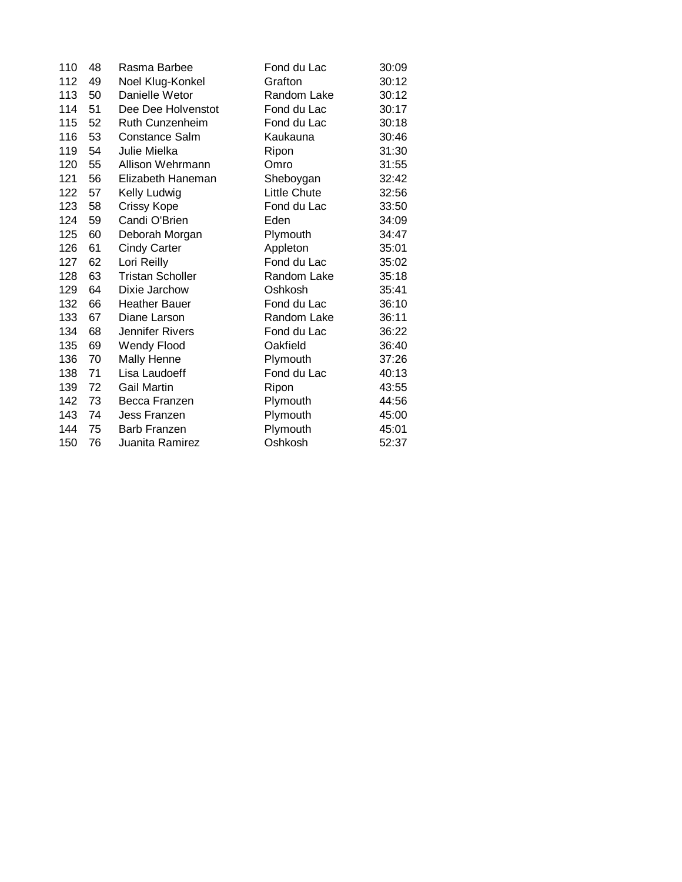| 110 | 48 | Rasma Barbee            | Fond du Lac  | 30:09 |
|-----|----|-------------------------|--------------|-------|
| 112 | 49 | Noel Klug-Konkel        | Grafton      | 30:12 |
| 113 | 50 | Danielle Wetor          | Random Lake  | 30:12 |
| 114 | 51 | Dee Dee Holvenstot      | Fond du Lac  | 30:17 |
| 115 | 52 | Ruth Cunzenheim         | Fond du Lac  | 30:18 |
| 116 | 53 | Constance Salm          | Kaukauna     | 30:46 |
| 119 | 54 | Julie Mielka            | Ripon        | 31:30 |
| 120 | 55 | Allison Wehrmann        | Omro         | 31:55 |
| 121 | 56 | Elizabeth Haneman       | Sheboygan    | 32:42 |
| 122 | 57 | Kelly Ludwig            | Little Chute | 32:56 |
| 123 | 58 | <b>Crissy Kope</b>      | Fond du Lac  | 33:50 |
| 124 | 59 | Candi O'Brien           | Eden         | 34:09 |
| 125 | 60 | Deborah Morgan          | Plymouth     | 34:47 |
| 126 | 61 | <b>Cindy Carter</b>     | Appleton     | 35:01 |
| 127 | 62 | Lori Reilly             | Fond du Lac  | 35:02 |
| 128 | 63 | <b>Tristan Scholler</b> | Random Lake  | 35:18 |
| 129 | 64 | Dixie Jarchow           | Oshkosh      | 35:41 |
| 132 | 66 | <b>Heather Bauer</b>    | Fond du Lac  | 36:10 |
| 133 | 67 | Diane Larson            | Random Lake  | 36:11 |
| 134 | 68 | Jennifer Rivers         | Fond du Lac  | 36:22 |
| 135 | 69 | <b>Wendy Flood</b>      | Oakfield     | 36:40 |
| 136 | 70 | Mally Henne             | Plymouth     | 37:26 |
| 138 | 71 | Lisa Laudoeff           | Fond du Lac  | 40:13 |
| 139 | 72 | <b>Gail Martin</b>      | Ripon        | 43:55 |
| 142 | 73 | Becca Franzen           | Plymouth     | 44:56 |
| 143 | 74 | Jess Franzen            | Plymouth     | 45:00 |
| 144 | 75 | <b>Barb Franzen</b>     | Plymouth     | 45:01 |
| 150 | 76 | Juanita Ramirez         | Oshkosh      | 52:37 |
|     |    |                         |              |       |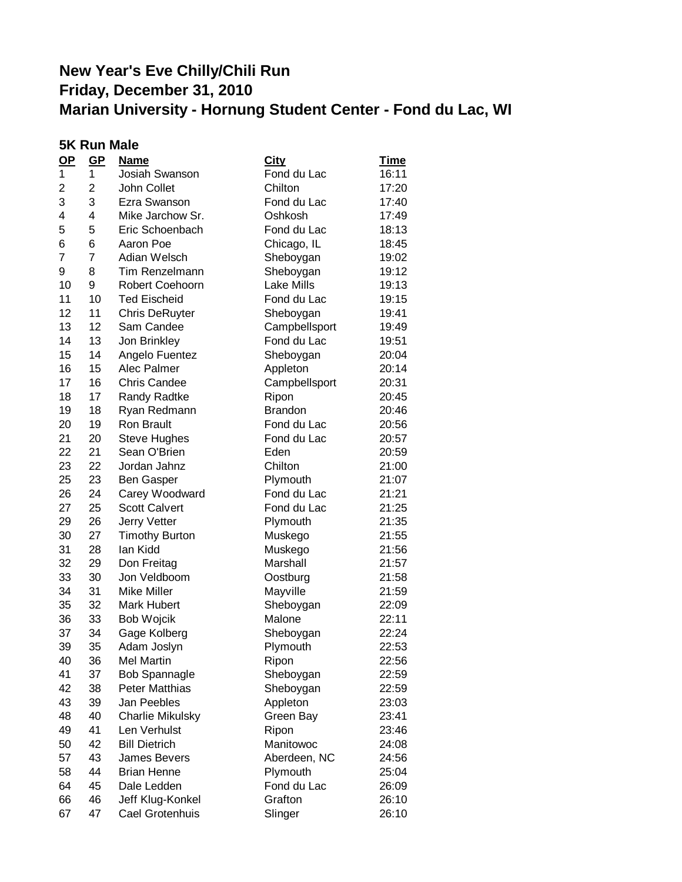|    | <b>5K Run Male</b> |                         |                |             |
|----|--------------------|-------------------------|----------------|-------------|
| OP | GP                 | <b>Name</b>             | <b>City</b>    | <b>Time</b> |
| 1  | 1                  | Josiah Swanson          | Fond du Lac    | 16:11       |
| 2  | 2                  | John Collet             | Chilton        | 17:20       |
| 3  | 3                  | Ezra Swanson            | Fond du Lac    | 17:40       |
| 4  | 4                  | Mike Jarchow Sr.        | Oshkosh        | 17:49       |
| 5  | 5                  | Eric Schoenbach         | Fond du Lac    | 18:13       |
| 6  | 6                  | Aaron Poe               | Chicago, IL    | 18:45       |
| 7  | $\overline{7}$     | Adian Welsch            | Sheboygan      | 19:02       |
| 9  | 8                  | Tim Renzelmann          | Sheboygan      | 19:12       |
| 10 | 9                  | Robert Coehoorn         | Lake Mills     | 19:13       |
| 11 | 10                 | <b>Ted Eischeid</b>     | Fond du Lac    | 19:15       |
| 12 | 11                 | <b>Chris DeRuyter</b>   | Sheboygan      | 19:41       |
| 13 | 12                 | Sam Candee              | Campbellsport  | 19:49       |
| 14 | 13                 | Jon Brinkley            | Fond du Lac    | 19:51       |
| 15 | 14                 | Angelo Fuentez          | Sheboygan      | 20:04       |
| 16 | 15                 | Alec Palmer             | Appleton       | 20:14       |
| 17 | 16                 | <b>Chris Candee</b>     | Campbellsport  | 20:31       |
| 18 | 17                 | Randy Radtke            | Ripon          | 20:45       |
| 19 | 18                 | Ryan Redmann            | <b>Brandon</b> | 20:46       |
| 20 | 19                 | Ron Brault              | Fond du Lac    | 20:56       |
| 21 | 20                 | <b>Steve Hughes</b>     | Fond du Lac    | 20:57       |
| 22 | 21                 | Sean O'Brien            | Eden           | 20:59       |
| 23 | 22                 | Jordan Jahnz            | Chilton        | 21:00       |
| 25 | 23                 | <b>Ben Gasper</b>       | Plymouth       | 21:07       |
| 26 | 24                 | Carey Woodward          | Fond du Lac    | 21:21       |
| 27 | 25                 | <b>Scott Calvert</b>    | Fond du Lac    | 21:25       |
| 29 | 26                 | Jerry Vetter            | Plymouth       | 21:35       |
| 30 | 27                 | <b>Timothy Burton</b>   | Muskego        | 21:55       |
| 31 | 28                 | lan Kidd                | Muskego        | 21:56       |
| 32 | 29                 | Don Freitag             | Marshall       | 21:57       |
| 33 | 30                 | Jon Veldboom            | Oostburg       | 21:58       |
| 34 | 31                 | Mike Miller             | Mayville       | 21:59       |
| 35 | 32                 | <b>Mark Hubert</b>      | Sheboygan      | 22:09       |
| 36 | 33                 | <b>Bob Wojcik</b>       | Malone         | 22:11       |
| 37 | 34                 | Gage Kolberg            | Sheboygan      | 22:24       |
| 39 | 35                 | Adam Joslyn             | Plymouth       | 22:53       |
| 40 | 36                 | Mel Martin              | Ripon          | 22:56       |
| 41 | 37                 | <b>Bob Spannagle</b>    | Sheboygan      | 22:59       |
| 42 | 38                 | <b>Peter Matthias</b>   | Sheboygan      | 22:59       |
| 43 | 39                 | Jan Peebles             | Appleton       | 23:03       |
| 48 | 40                 | <b>Charlie Mikulsky</b> | Green Bay      | 23:41       |
| 49 | 41                 | Len Verhulst            | Ripon          | 23:46       |
| 50 | 42                 | <b>Bill Dietrich</b>    | Manitowoc      | 24:08       |
| 57 | 43                 | James Bevers            | Aberdeen, NC   | 24:56       |
| 58 | 44                 | <b>Brian Henne</b>      | Plymouth       | 25:04       |
| 64 | 45                 | Dale Ledden             | Fond du Lac    | 26:09       |
| 66 | 46                 | Jeff Klug-Konkel        | Grafton        | 26:10       |
| 67 | 47                 | Cael Grotenhuis         | Slinger        | 26:10       |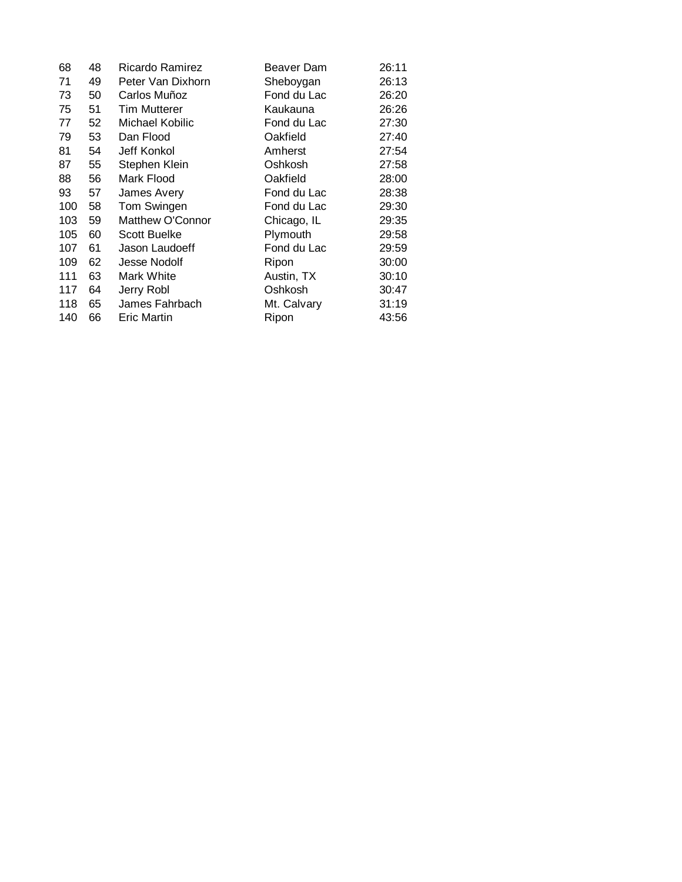| 68  | 48 | Ricardo Ramirez     | Beaver Dam  | 26:11 |
|-----|----|---------------------|-------------|-------|
| 71  | 49 | Peter Van Dixhorn   | Sheboygan   | 26:13 |
| 73  | 50 | Carlos Muñoz        | Fond du Lac | 26:20 |
| 75  | 51 | <b>Tim Mutterer</b> | Kaukauna    | 26:26 |
| 77  | 52 | Michael Kobilic     | Fond du Lac | 27:30 |
| 79  | 53 | Dan Flood           | Oakfield    | 27:40 |
| 81  | 54 | Jeff Konkol         | Amherst     | 27:54 |
| 87  | 55 | Stephen Klein       | Oshkosh     | 27:58 |
| 88  | 56 | Mark Flood          | Oakfield    | 28:00 |
| 93  | 57 | James Avery         | Fond du Lac | 28:38 |
| 100 | 58 | Tom Swingen         | Fond du Lac | 29:30 |
| 103 | 59 | Matthew O'Connor    | Chicago, IL | 29:35 |
| 105 | 60 | <b>Scott Buelke</b> | Plymouth    | 29:58 |
| 107 | 61 | Jason Laudoeff      | Fond du Lac | 29:59 |
| 109 | 62 | Jesse Nodolf        | Ripon       | 30:00 |
| 111 | 63 | Mark White          | Austin, TX  | 30:10 |
| 117 | 64 | Jerry Robl          | Oshkosh     | 30:47 |
| 118 | 65 | James Fahrbach      | Mt. Calvary | 31:19 |
| 140 | 66 | <b>Eric Martin</b>  | Ripon       | 43:56 |
|     |    |                     |             |       |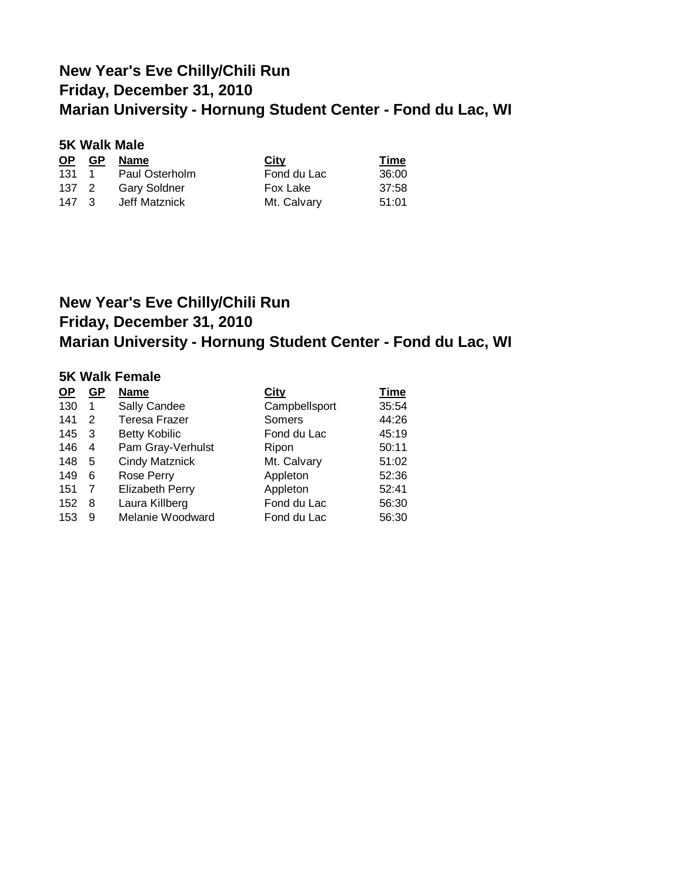| <b>5K Walk Male</b> |      |                     |             |             |
|---------------------|------|---------------------|-------------|-------------|
| <u>OP</u>           | - GP | <b>Name</b>         | <u>City</u> | <u>Time</u> |
| 131                 |      | 1 Paul Osterholm    | Fond du Lac | 36:00       |
| 137 2               |      | <b>Gary Soldner</b> | Fox Lake    | 37:58       |
| $147 \quad 3$       |      | Jeff Matznick       | Mt. Calvary | 51:01       |

## **New Year's Eve Chilly/Chili Run Friday, December 31, 2010 Marian University - Hornung Student Center - Fond du Lac, WI**

### **5K Walk Female**

| <u>OP</u> | <u>GP</u> | <b>Name</b>            | City          | <b>Time</b> |
|-----------|-----------|------------------------|---------------|-------------|
| 130       | 1         | Sally Candee           | Campbellsport | 35:54       |
| 141       | 2         | <b>Teresa Frazer</b>   | Somers        | 44:26       |
| 145       | - 3       | <b>Betty Kobilic</b>   | Fond du Lac   | 45:19       |
| 146       | 4         | Pam Gray-Verhulst      | Ripon         | 50:11       |
| 148       | 5         | <b>Cindy Matznick</b>  | Mt. Calvary   | 51:02       |
| 149       | 6         | Rose Perry             | Appleton      | 52:36       |
| 151       | 7         | <b>Elizabeth Perry</b> | Appleton      | 52:41       |
| 152       | 8         | Laura Killberg         | Fond du Lac   | 56:30       |
| 153       | 9         | Melanie Woodward       | Fond du Lac   | 56:30       |